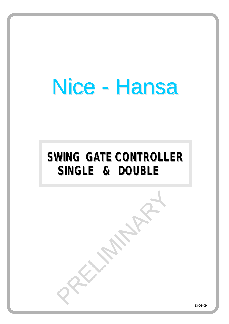# Nice - Hansa

# **SWING GATE CONTROLLER SWING GATE CONTROLLER SINGLE & DOUBLE SINGLE & DOUBLE**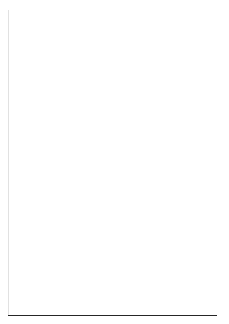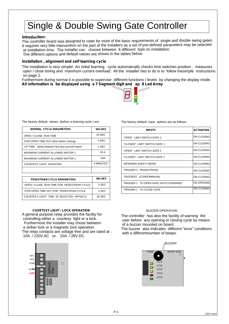# Single & Double Swing Gate Controller

#### **Introduction:**

The controller board was designed to cater for most of the basic requirements of single and double swing gates. It requires very little intervention on the part of the installers as a set of pre-defined parameters may be selected at installation time. The installer can choose between 6 different type os installation. The different options and default values are shown in the tables below.

**Installation , alignment and self learning cycle**

The installation is very simple! An initial learning cycle automatically checks limit switches position,measures open / close timing and maximum current overload . All the installer has to do is to follow thesimple instructions on page 2.

1 **All information is be displayed using a 7 Segment digit and an 8 Led Array**  Furthermore during normal it is possible to supervise different functions / levels by changing the display mode.



The factory default values (before a learning cycle ) are: The factory default input options are as follows

| <b>NORMAL CYCLE PARAMETERS</b>                  | <b>VALUES</b> |
|-------------------------------------------------|---------------|
| OPEN / CLOSE RUN TIME                           | 20 SEC        |
| STAY-OPEN TIME OUT (time before closing)        | 5 SEC         |
| LIP TIME (delay between first and second motor) | 2 SEC         |
| <b>MAXIMUM CURRENT ALLOWED MOTOR 1</b>          | 10 A          |
| <b>MAXIMUM CURRENT ALLOWED MOTOR 2</b>          | 10A           |
| COURTESY LIGHT DURATION                         | 4 MINUTES     |
|                                                 |               |
|                                                 |               |

| PEDESTRIAN CYCLE PARAMETERS                | <b>VALUES</b> |
|--------------------------------------------|---------------|
| OPEN / CLOSE RUN TIME FOR PEDESTRIAN CYCLE | 5 SEC         |
| STAY-OPEN TIME OUT FOR PEDESTRIAN CYCLE    | 2 SEC         |
| COURTESY LIGHT TIME (IF SELECTED -DIPSW 3) | 30 SEC        |

#### **COURTESY LIGHT / LOCK OPERATION**

A general purpose relay provides the facility for controlling either a courtesy light or a lock. Furthermore the installer may chose between a striker lock or a magnetic lock operation. The relay contacts are voltage free and are rated at : 10A / 220V AC or 10A / 28V DC



| <b>INPUTS</b>                         | <b>ACTIVATION</b> |
|---------------------------------------|-------------------|
| "OPEN" LIMIT SWITCH GATE 1            | ON CLOSING        |
| "CLOSED" LIMIT SWITCH GATE 1          | ON CLOSING        |
| "OPEN" LIMIT SWITCH GATE 2            | ON CLOSING        |
| "CLOSED" LIMIT SWITCH GATE 2          | ON CLOSING        |
| <b>INFRARED SAFETY BEAM</b>           | ON CLOSING        |
| TRIGGER 3 (PEDESTRIAN)                | ON CLOSING        |
| TRIGGER2 (CONDOMINIUM)                | ON CLOSING        |
| TRIGGER 1 TO OPEN GATE /AUTO-OVERRIDE | ON OPENING        |
| TRIGGER 1 TO CLOSE GATE               | ON CLOSING        |

#### BUZZER OPERATION

The controller has also the facility of warning the user before any opening or closing cycle by means of a buzzer mounted on board.

The buzzer also indicates different "error" conditions with a differentnumber of beeps.

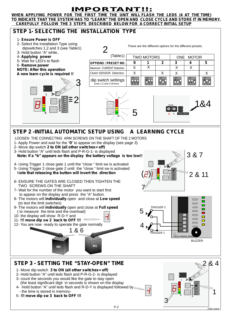# **IMPORTANT!!:**

#### **WHEN APPLYING POWER FOR THE FIRST TIME THE UNIT WILL FLASH THE LEDS (4 AT THE TIME) TO INDICATE THAT THE SYSTEM HAS TO "LEARN" THE OPEN AND CLOSE CYCLE AND STORE IT IN MEMORY. CAREFULLY FOLLOW THE 3 STEPS DESCRIBED BELOW FOR A CORRECT INITIAL SETUP**

### **STEP 1- SELECTING THE INSTALLATION TYPE**



P-2



3

8

 $X361-ma$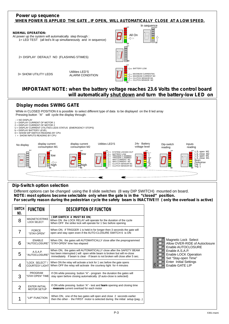#### **Power up sequence WHEN POWER IS APPLIED THE GATE , IF OPEN, WILL AUTOMATICALLY CLOSE AT A LOW SPEED.**



#### **Display modes SWING GATE**

While in CLOSED POSITION it is possible to select different type of data to be displayed on the 8 led array Pressing button "A" will cycle the display through:

- $=$  NO DISPLAY
- 1 = DISPLAY CURRENT OF MOTOR 1
- 2 = DISPLAY CURRENT OF MOTOR 2
- U = DISPLAY CURRENT UTILITIES LEDS STATUS (EMERGENCY STOPS)
- b = DISPLAY BATTERY LEVEL O = SHOW DIP SWITCH READING BY CPU
- 
- i = SHOW INPUTS READING BY CPU



#### **Dip-Switch option selection**

Different options can be changed using the 8 slide switches (8 way DIP SWITCH) mounted on board. **NOTE: most options become selectable only when the gate is in the "closed" position. For security reason during the pedestrian cycle the safety beam is INACTIVE!!! ( only the overload is active)** 

 $\,\,\,\,\,$ 

| <b>SWITCH</b><br>NO. | <b>FUNCTION</b>                            | <b>DESCRIPTION OF FUNCTION</b>                                                                                                                                                                                              |
|----------------------|--------------------------------------------|-----------------------------------------------------------------------------------------------------------------------------------------------------------------------------------------------------------------------------|
| 8                    | MAGNETIC/STRIKE<br><b>LOCK SELECT</b>      | (DIP-SWITCH 4 MUST BE ON)<br>When ON the LOCK RELAY will operate for the duration of the cycle<br>When OFF the strike lock will operate for 1 Sec before opening                                                            |
| 7                    | <b>FORCE</b><br>"STAY-OPEN"                | When ON, if TRIGGER 1 is held in for longer then 3 seconds the gate will<br>open and stay open even if the AUTO-CLOSURE SWITCH 6 is ON                                                                                      |
| 6                    | <b>FNABLE</b><br>"AUTOCLOSURE"             | When ON, the gates will AUTOMATICALLY close after the preprogrammed<br>"STAY-OPEN" time has elapsed                                                                                                                         |
| 5                    | A.S.A.P.<br>"AUTOCLOSURE"                  | When ON, the gates will AUTOMATICALLY close after the SAFETY BEAM<br>has been interrupted (will open while beam is broken but will re-close<br>immediately if beam is clear - If beam is not broken will close after 5 sec. |
| 4                    | "LOCK SELECT" /<br><b>COURTESY LIGHT</b>   | When ON the relay will activate a lock for 1 sec before the gate opens<br>When OFF the relay will activate the courtesy light for 4 minutes                                                                                 |
| 3                    | PROGRAM<br>"STAY-OPEN" TIME                | If ON while pressing button "A" - program the duration the gates will<br>stay open before closing automatically (if auto-close is selected)                                                                                 |
| 2                    | <b>FNTER INITIAL</b><br><b>MOTOR SETUP</b> | If ON while pressing button "A" - test and learn opening and closing time<br>- measure current overload for each motor                                                                                                      |
| 1                    | "LIP" FUNCTION                             | When ON, one of the two gates will open and close 2 seconds earlier<br>then the other - the FIRST motor is selected during the initial setup (pag)                                                                          |



Allow OVER-RIDE of Autoclosure Enable AUTOCLOSURE Enable A.S.A.P. Enable LOCK Operation Set "Stay-open Time" Enter Initial Settings Enable GATE LIP Magnetic Lock Select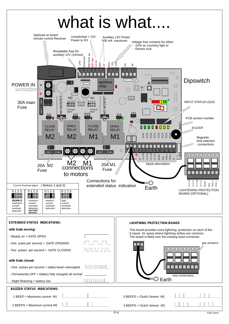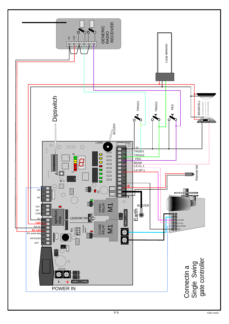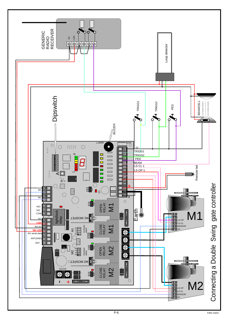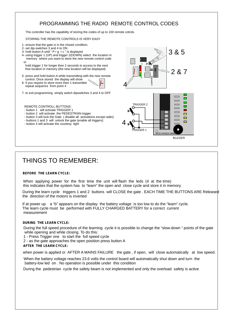### PROGRAMMING THE RADIO REMOTE CONTROL CODES

The controller has the capability of storing the codes of up to 100 remote cotrols

STORING THE REMOTE CONTROLS IS VERY EASY

- 1- ensure that the gate is in the closed condition.
- 2- set dip-switches 3 and 4 to ON
- 3- hold button A until " P r g r c " is displayed
- 4- using trigger 1 (UP) and trigger 2(DOWN) select the location in memory where you want to store the new remote control code or
- hold trigger 1 for longer then 2 seconds to access to the next free location in memory (the new location will be displayed)
- 5- press and hold button A while transmitting with the new remote control. Once stored the display will show
- 6- if you require to store more then 1 transmitter repeat sequence from point 4
- 7- to exit programming simply switch dipswitches 3 and 4 to OFF

REMOTE CONTROLL BUTTONS:

- button 1 will activate TRIGGER 1
- button 2 will activate the PEDESTRIAN trigger
- button 3 will lock the Gate ( disable all activations except radio)
- buttons 1 and 3 will unlock the gate (enable all triggers)
- button 4 will activate the courtesy light



## THINGS TO REMEMBER:

#### **BEFORE THE LEARN CYCLE:**

When applying power for the first time the unit will flash the leds (4 at the time) this indicates that the system has to "learn" the open and close cycle and store it in memory.

During the learn cycle triggers 1 and 2 buttons will CLOSE the gate . EACH TIME THE BUTTONS ARE Released the direction of the motors is inverted

If at power up a "b" appears on the display the battery voltage is too low to do the "learn" cycle. The learn cycle must be performed with FULLY CHARGED BATTERY for a correct current measurement

#### **DURING THE LEARN CYCLE:**

During the full speed procedure of the learning cycle it is possible to change the "slow-down " points of the gate while opening and while closing. To do this:

1 - Press Trigger one to start the full speed cycle

2 - as the gate approaches the open position press button A

#### **AFTER THE LEARN CYCLE:**

when power is applied or AFTER A MAINS FAILURE the gate, if open, will close automatically at low speed.

When the battery voltage reaches 23.6 volts the control board will automatically shut down and turn the battery-low led on . No operation is possible under this condition

During the pedestrian cycle the safety beam is not implemented and only the overload safety is active